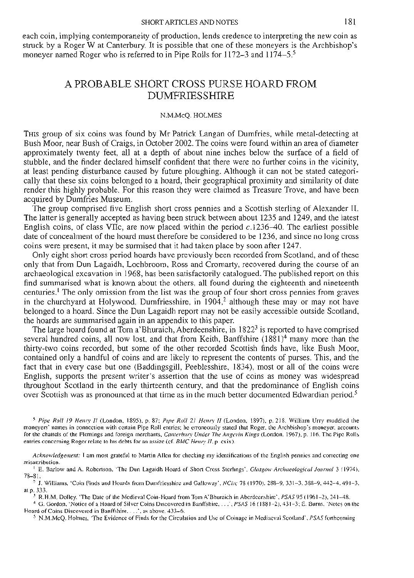#### **SHORT ARTICLES AND NOTES**

each coin, implying contemporaneity of production, lends credence to interpreting the new coin as struck by a Roger W at Canterbury. It is possible that one of these moneyers is the Archbishop's moneyer named Roger who is referred to in Pipe Rolls for 1172–3 and 1174–5.<sup>5</sup>

# A PROBABLE SHORT CROSS PURSE HOARD FROM DUMFRIESSHIRE

#### N.M.McQ. HOLMES

THIS group of six coins was found by Mr Patrick Langan of Dumfries, while metal-detecting at Bush Moor, near Bush of Craigs, in October 2002. The coins were found within an area of diameter approximately twenty feet, all at a depth of about nine inches below the surface of a field of stubble, and the finder declared himself confident that there were no further coins in the vicinity, at least pending disturbance caused by future ploughing. Although it can not be stated categorically that these six coins belonged to a hoard, their geographical proximity and similarity of date render this highly probable. For this reason they were claimed as Treasure Trove, and have been acquired by Dumfries Museum.

The group comprised five English short cross pennies and a Scottish sterling of Alexander II. The latter is generally accepted as having been struck between about 1235 and 1249, and the latest English coins, of class VIIc, are now placed within the period *c.l*236-40. The earliest possible date of concealment of the hoard must therefore be considered to be 1236, and since no long cross coins were present, it may be surmised that it had taken place by soon after 1247.

Only eight short cross period hoards have previously been recorded from Scotland, and of these only that from Dun Lagaidh, Lochbroom, Ross and Cromarty, recovered during the course of an archaeological excavation in 1968, has been satisfactorily catalogued. The published report on this find summarised what is known about the others, all found during the eighteenth and nineteenth centuries.1 The only omission from the list was the group of four short cross pennies from graves in the churchyard at Holywood, Dumfriesshire, in  $1904$ ,<sup>2</sup> although these may or may not have<br>belonged to a hoard. Since the Dun Lagaidh report may not be easily accessible outside Scotland,<br>the hoards are summarised aga

several hundred coins, all now lost, and that from Keith, Banffshire (1881)<sup>4</sup> many more than the thirty-two coins recorded, but some of the other recorded Scottish finds have, like Bush Moor, contained only a handful of c over Scottish was as pronounced at that time as in the much better documented Edwardian period.<sup>5</sup>

*5 Pipe Roll 19 Henry II* (London, 1S95), p. 87; *Pipe Roll 21 Henry II* (London, 1897), p. 218. William Urry muddled the for the chattels of the Flemings and foreign merchants, Canterbury Under The Angevin Kings (London, 1967), p. 116. The Pipe Rolls entries concerning Roger relate to his debts for an assize (cf. *BMC Henry II.* p. cxix).

Acknowledgement: I am most grateful to Martin Allen for checking my identifications of the English pennies and correcting one<br>
"E. Barlow and A. Robertson, 'The Dun Lagaidh Hoard of Short Cross Sterlings', *Glasgow Archaeo* 

- -

<sup>5</sup> N.M.McQ. Holmes, 'The Evidence of Finds for the Circulation and Use of Coinage in Mediaeval Scotland', *PSAS* forthcoming.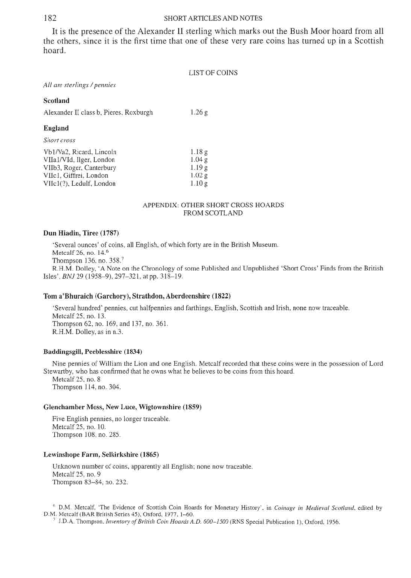182 **SHORT ARTICLES AND NOTES**  It is the presence of the Alexander II sterling which marks out the Bush Moor hoard from all the others, since it is the first time that one of these very rare coins has turned up in a Scottish hoard.

| LIST OF COINS |  |
|---------------|--|
|---------------|--|

*All are sterlings /pennies* 

## **Scotland**

Alexander **II** class b, Pieres, Roxburgh 1.26 g

### **England**

*Short cross* 

| Vb1/Va2, Ricard, Lincoln | 1.18g  |
|--------------------------|--------|
| VIIa1/VId, Ilger, London | 1.04 g |
| VIIb3, Roger, Canterbury | 1.19g  |
| VIIc1, Giffrei, London   | 1.02g  |
| VIIc1(?), Ledulf, London | 1.10g  |

#### APPENDIX: OTHER SHORT CROSS HOARDS FROM SCOTLAND

#### **Dun Hiadin, Tiree (1787)**

'Several ounces' of coins, all English, of which forty are in the British Museum. Metcalf 26, no. 14.6 Thompson 136, no. 358.7

R.H.M. Dolley, 'A Note on the Chronology of some Published and Unpublished 'Short Cross' Finds from the British Isles', *BNJ* 29 (1958-9), 297-321, at pp. 318-19.

#### **Tom a'Bhuraich (Garchory), Strathdon, Aberdeenshire (1822)**

'Several hundred' pennies, cut halfpennies and farthings, English, Scottish and Irish, none now traceable. Metcalf 25, no. 13. Thompson 62, no. 169, and 137, no. 361. R.H.M. Dolley, as in n.3.

### **Baddingsgill, Peeblesshire (1834)**

Nine pennies of William the Lion and one English. Metcalf recorded that these coins were in the possession of Lord Stewartby, who has confirmed that he owns what he believes to be coins from this hoard. Metcalf 25, no. 8

Thompson 114, no. 304.

#### **Glenchamber Moss, New Luce, Wigtownshire (1859)**

Five English pennies, no longer traceable. Metcalf 25, no. 10. Thompson 108, no. 285.

#### **Lewinshope Farm, Selkirkshire (1865)**

Unknown number of coins, apparently all English; none now traceable. Metcalf 25, no. 9 Thompson 83-84, no. 232.

<sup>6</sup> D.M. Metcalf, 'The Evidence of Scottish Coin Hoards for Monetary History', in *Coinage in Medieval Scotland*, edited by D.M. Metcalf (BAR British Series 45), Oxford, 1977, 1–60.<br><sup>7</sup> J.D.A. Thompson. *Inventory of Brit*